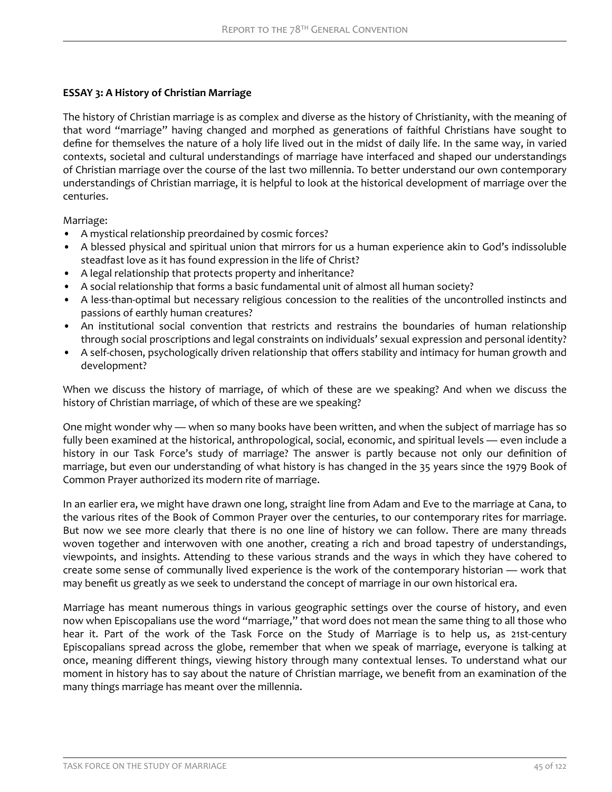# **ESSAY 3: A History of Christian Marriage**

The history of Christian marriage is as complex and diverse as the history of Christianity, with the meaning of that word "marriage" having changed and morphed as generations of faithful Christians have sought to define for themselves the nature of a holy life lived out in the midst of daily life. In the same way, in varied contexts, societal and cultural understandings of marriage have interfaced and shaped our understandings of Christian marriage over the course of the last two millennia. To better understand our own contemporary understandings of Christian marriage, it is helpful to look at the historical development of marriage over the centuries.

Marriage:

- A mystical relationship preordained by cosmic forces?
- A blessed physical and spiritual union that mirrors for us a human experience akin to God's indissoluble steadfast love as it has found expression in the life of Christ?
- A legal relationship that protects property and inheritance?
- A social relationship that forms a basic fundamental unit of almost all human society?
- A less-than-optimal but necessary religious concession to the realities of the uncontrolled instincts and passions of earthly human creatures?
- An institutional social convention that restricts and restrains the boundaries of human relationship through social proscriptions and legal constraints on individuals' sexual expression and personal identity?
- A self-chosen, psychologically driven relationship that offers stability and intimacy for human growth and development?

When we discuss the history of marriage, of which of these are we speaking? And when we discuss the history of Christian marriage, of which of these are we speaking?

One might wonder why — when so many books have been written, and when the subject of marriage has so fully been examined at the historical, anthropological, social, economic, and spiritual levels — even include a history in our Task Force's study of marriage? The answer is partly because not only our definition of marriage, but even our understanding of what history is has changed in the 35 years since the 1979 Book of Common Prayer authorized its modern rite of marriage.

In an earlier era, we might have drawn one long, straight line from Adam and Eve to the marriage at Cana, to the various rites of the Book of Common Prayer over the centuries, to our contemporary rites for marriage. But now we see more clearly that there is no one line of history we can follow. There are many threads woven together and interwoven with one another, creating a rich and broad tapestry of understandings, viewpoints, and insights. Attending to these various strands and the ways in which they have cohered to create some sense of communally lived experience is the work of the contemporary historian — work that may benefit us greatly as we seek to understand the concept of marriage in our own historical era.

Marriage has meant numerous things in various geographic settings over the course of history, and even now when Episcopalians use the word "marriage," that word does not mean the same thing to all those who hear it. Part of the work of the Task Force on the Study of Marriage is to help us, as 21st-century Episcopalians spread across the globe, remember that when we speak of marriage, everyone is talking at once, meaning different things, viewing history through many contextual lenses. To understand what our moment in history has to say about the nature of Christian marriage, we benefit from an examination of the many things marriage has meant over the millennia.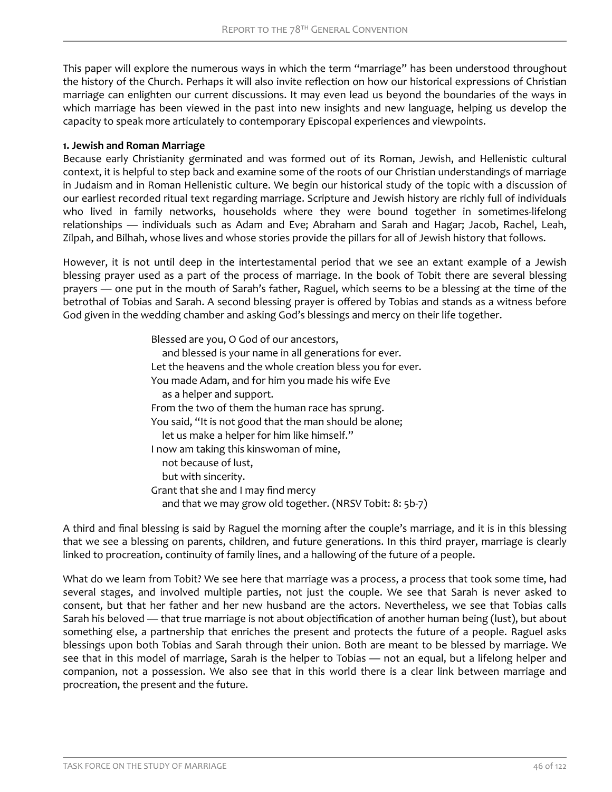This paper will explore the numerous ways in which the term "marriage" has been understood throughout the history of the Church. Perhaps it will also invite reflection on how our historical expressions of Christian marriage can enlighten our current discussions. It may even lead us beyond the boundaries of the ways in which marriage has been viewed in the past into new insights and new language, helping us develop the capacity to speak more articulately to contemporary Episcopal experiences and viewpoints.

### **1. Jewish and Roman Marriage**

Because early Christianity germinated and was formed out of its Roman, Jewish, and Hellenistic cultural context, it is helpful to step back and examine some of the roots of our Christian understandings of marriage in Judaism and in Roman Hellenistic culture. We begin our historical study of the topic with a discussion of our earliest recorded ritual text regarding marriage. Scripture and Jewish history are richly full of individuals who lived in family networks, households where they were bound together in sometimes-lifelong relationships — individuals such as Adam and Eve; Abraham and Sarah and Hagar; Jacob, Rachel, Leah, Zilpah, and Bilhah, whose lives and whose stories provide the pillars for all of Jewish history that follows.

However, it is not until deep in the intertestamental period that we see an extant example of a Jewish blessing prayer used as a part of the process of marriage. In the book of Tobit there are several blessing prayers — one put in the mouth of Sarah's father, Raguel, which seems to be a blessing at the time of the betrothal of Tobias and Sarah. A second blessing prayer is offered by Tobias and stands as a witness before God given in the wedding chamber and asking God's blessings and mercy on their life together.

> Blessed are you, O God of our ancestors, and blessed is your name in all generations for ever. Let the heavens and the whole creation bless you for ever. You made Adam, and for him you made his wife Eve as a helper and support. From the two of them the human race has sprung. You said, "It is not good that the man should be alone; let us make a helper for him like himself." I now am taking this kinswoman of mine, not because of lust, but with sincerity. Grant that she and I may find mercy and that we may grow old together. (NRSV Tobit: 8: 5b-7)

A third and final blessing is said by Raguel the morning after the couple's marriage, and it is in this blessing that we see a blessing on parents, children, and future generations. In this third prayer, marriage is clearly linked to procreation, continuity of family lines, and a hallowing of the future of a people.

What do we learn from Tobit? We see here that marriage was a process, a process that took some time, had several stages, and involved multiple parties, not just the couple. We see that Sarah is never asked to consent, but that her father and her new husband are the actors. Nevertheless, we see that Tobias calls Sarah his beloved — that true marriage is not about objectification of another human being (lust), but about something else, a partnership that enriches the present and protects the future of a people. Raguel asks blessings upon both Tobias and Sarah through their union. Both are meant to be blessed by marriage. We see that in this model of marriage, Sarah is the helper to Tobias — not an equal, but a lifelong helper and companion, not a possession. We also see that in this world there is a clear link between marriage and procreation, the present and the future.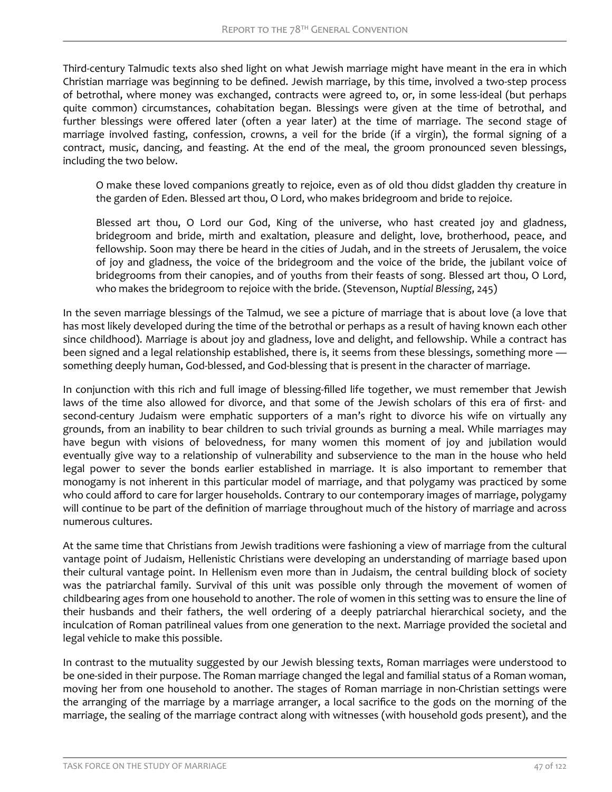Third-century Talmudic texts also shed light on what Jewish marriage might have meant in the era in which Christian marriage was beginning to be defined. Jewish marriage, by this time, involved a two-step process of betrothal, where money was exchanged, contracts were agreed to, or, in some less-ideal (but perhaps quite common) circumstances, cohabitation began. Blessings were given at the time of betrothal, and further blessings were offered later (often a year later) at the time of marriage. The second stage of marriage involved fasting, confession, crowns, a veil for the bride (if a virgin), the formal signing of a contract, music, dancing, and feasting. At the end of the meal, the groom pronounced seven blessings, including the two below.

O make these loved companions greatly to rejoice, even as of old thou didst gladden thy creature in the garden of Eden. Blessed art thou, O Lord, who makes bridegroom and bride to rejoice.

Blessed art thou, O Lord our God, King of the universe, who hast created joy and gladness, bridegroom and bride, mirth and exaltation, pleasure and delight, love, brotherhood, peace, and fellowship. Soon may there be heard in the cities of Judah, and in the streets of Jerusalem, the voice of joy and gladness, the voice of the bridegroom and the voice of the bride, the jubilant voice of bridegrooms from their canopies, and of youths from their feasts of song. Blessed art thou, O Lord, who makes the bridegroom to rejoice with the bride. (Stevenson, *Nuptial Blessing*, 245)

In the seven marriage blessings of the Talmud, we see a picture of marriage that is about love (a love that has most likely developed during the time of the betrothal or perhaps as a result of having known each other since childhood). Marriage is about joy and gladness, love and delight, and fellowship. While a contract has been signed and a legal relationship established, there is, it seems from these blessings, something more something deeply human, God-blessed, and God-blessing that is present in the character of marriage.

In conjunction with this rich and full image of blessing-filled life together, we must remember that Jewish laws of the time also allowed for divorce, and that some of the Jewish scholars of this era of first- and second-century Judaism were emphatic supporters of a man's right to divorce his wife on virtually any grounds, from an inability to bear children to such trivial grounds as burning a meal. While marriages may have begun with visions of belovedness, for many women this moment of joy and jubilation would eventually give way to a relationship of vulnerability and subservience to the man in the house who held legal power to sever the bonds earlier established in marriage. It is also important to remember that monogamy is not inherent in this particular model of marriage, and that polygamy was practiced by some who could afford to care for larger households. Contrary to our contemporary images of marriage, polygamy will continue to be part of the definition of marriage throughout much of the history of marriage and across numerous cultures.

At the same time that Christians from Jewish traditions were fashioning a view of marriage from the cultural vantage point of Judaism, Hellenistic Christians were developing an understanding of marriage based upon their cultural vantage point. In Hellenism even more than in Judaism, the central building block of society was the patriarchal family. Survival of this unit was possible only through the movement of women of childbearing ages from one household to another. The role of women in this setting was to ensure the line of their husbands and their fathers, the well ordering of a deeply patriarchal hierarchical society, and the inculcation of Roman patrilineal values from one generation to the next. Marriage provided the societal and legal vehicle to make this possible.

In contrast to the mutuality suggested by our Jewish blessing texts, Roman marriages were understood to be one-sided in their purpose. The Roman marriage changed the legal and familial status of a Roman woman, moving her from one household to another. The stages of Roman marriage in non-Christian settings were the arranging of the marriage by a marriage arranger, a local sacrifice to the gods on the morning of the marriage, the sealing of the marriage contract along with witnesses (with household gods present), and the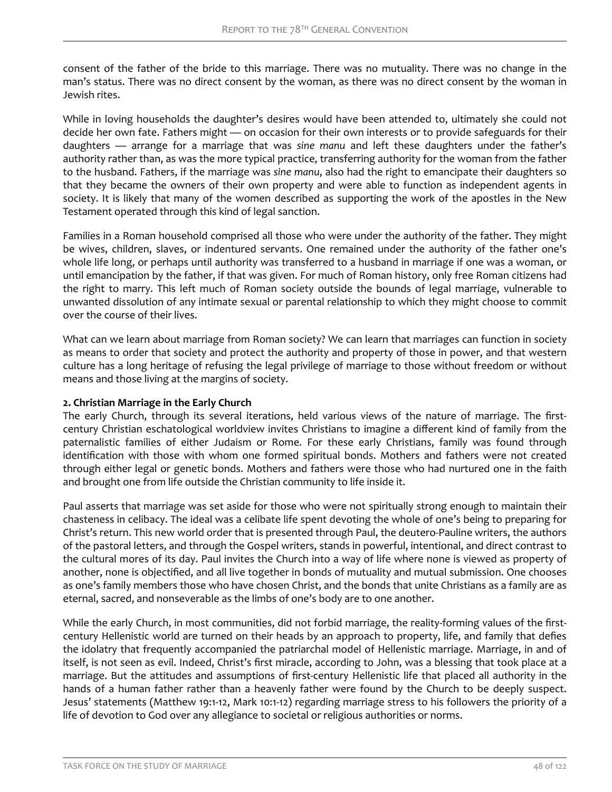consent of the father of the bride to this marriage. There was no mutuality. There was no change in the man's status. There was no direct consent by the woman, as there was no direct consent by the woman in Jewish rites.

While in loving households the daughter's desires would have been attended to, ultimately she could not decide her own fate. Fathers might — on occasion for their own interests or to provide safeguards for their daughters — arrange for a marriage that was *sine manu* and left these daughters under the father's authority rather than, as was the more typical practice, transferring authority for the woman from the father to the husband. Fathers, if the marriage was *sine manu*, also had the right to emancipate their daughters so that they became the owners of their own property and were able to function as independent agents in society. It is likely that many of the women described as supporting the work of the apostles in the New Testament operated through this kind of legal sanction.

Families in a Roman household comprised all those who were under the authority of the father. They might be wives, children, slaves, or indentured servants. One remained under the authority of the father one's whole life long, or perhaps until authority was transferred to a husband in marriage if one was a woman, or until emancipation by the father, if that was given. For much of Roman history, only free Roman citizens had the right to marry. This left much of Roman society outside the bounds of legal marriage, vulnerable to unwanted dissolution of any intimate sexual or parental relationship to which they might choose to commit over the course of their lives.

What can we learn about marriage from Roman society? We can learn that marriages can function in society as means to order that society and protect the authority and property of those in power, and that western culture has a long heritage of refusing the legal privilege of marriage to those without freedom or without means and those living at the margins of society.

### **2. Christian Marriage in the Early Church**

The early Church, through its several iterations, held various views of the nature of marriage. The firstcentury Christian eschatological worldview invites Christians to imagine a different kind of family from the paternalistic families of either Judaism or Rome. For these early Christians, family was found through identification with those with whom one formed spiritual bonds. Mothers and fathers were not created through either legal or genetic bonds. Mothers and fathers were those who had nurtured one in the faith and brought one from life outside the Christian community to life inside it.

Paul asserts that marriage was set aside for those who were not spiritually strong enough to maintain their chasteness in celibacy. The ideal was a celibate life spent devoting the whole of one's being to preparing for Christ's return. This new world order that is presented through Paul, the deutero-Pauline writers, the authors of the pastoral letters, and through the Gospel writers, stands in powerful, intentional, and direct contrast to the cultural mores of its day. Paul invites the Church into a way of life where none is viewed as property of another, none is objectified, and all live together in bonds of mutuality and mutual submission. One chooses as one's family members those who have chosen Christ, and the bonds that unite Christians as a family are as eternal, sacred, and nonseverable as the limbs of one's body are to one another.

While the early Church, in most communities, did not forbid marriage, the reality-forming values of the firstcentury Hellenistic world are turned on their heads by an approach to property, life, and family that defies the idolatry that frequently accompanied the patriarchal model of Hellenistic marriage. Marriage, in and of itself, is not seen as evil. Indeed, Christ's first miracle, according to John, was a blessing that took place at a marriage. But the attitudes and assumptions of first-century Hellenistic life that placed all authority in the hands of a human father rather than a heavenly father were found by the Church to be deeply suspect. Jesus' statements (Matthew 19:1-12, Mark 10:1-12) regarding marriage stress to his followers the priority of a life of devotion to God over any allegiance to societal or religious authorities or norms.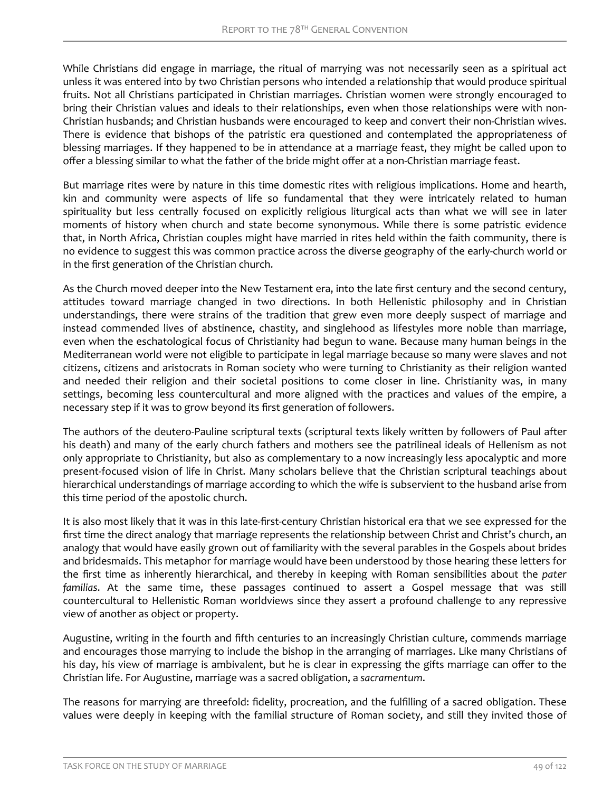While Christians did engage in marriage, the ritual of marrying was not necessarily seen as a spiritual act unless it was entered into by two Christian persons who intended a relationship that would produce spiritual fruits. Not all Christians participated in Christian marriages. Christian women were strongly encouraged to bring their Christian values and ideals to their relationships, even when those relationships were with non-Christian husbands; and Christian husbands were encouraged to keep and convert their non-Christian wives. There is evidence that bishops of the patristic era questioned and contemplated the appropriateness of blessing marriages. If they happened to be in attendance at a marriage feast, they might be called upon to offer a blessing similar to what the father of the bride might offer at a non-Christian marriage feast.

But marriage rites were by nature in this time domestic rites with religious implications. Home and hearth, kin and community were aspects of life so fundamental that they were intricately related to human spirituality but less centrally focused on explicitly religious liturgical acts than what we will see in later moments of history when church and state become synonymous. While there is some patristic evidence that, in North Africa, Christian couples might have married in rites held within the faith community, there is no evidence to suggest this was common practice across the diverse geography of the early-church world or in the first generation of the Christian church.

As the Church moved deeper into the New Testament era, into the late first century and the second century, attitudes toward marriage changed in two directions. In both Hellenistic philosophy and in Christian understandings, there were strains of the tradition that grew even more deeply suspect of marriage and instead commended lives of abstinence, chastity, and singlehood as lifestyles more noble than marriage, even when the eschatological focus of Christianity had begun to wane. Because many human beings in the Mediterranean world were not eligible to participate in legal marriage because so many were slaves and not citizens, citizens and aristocrats in Roman society who were turning to Christianity as their religion wanted and needed their religion and their societal positions to come closer in line. Christianity was, in many settings, becoming less countercultural and more aligned with the practices and values of the empire, a necessary step if it was to grow beyond its first generation of followers.

The authors of the deutero-Pauline scriptural texts (scriptural texts likely written by followers of Paul after his death) and many of the early church fathers and mothers see the patrilineal ideals of Hellenism as not only appropriate to Christianity, but also as complementary to a now increasingly less apocalyptic and more present-focused vision of life in Christ. Many scholars believe that the Christian scriptural teachings about hierarchical understandings of marriage according to which the wife is subservient to the husband arise from this time period of the apostolic church.

It is also most likely that it was in this late-first-century Christian historical era that we see expressed for the first time the direct analogy that marriage represents the relationship between Christ and Christ's church, an analogy that would have easily grown out of familiarity with the several parables in the Gospels about brides and bridesmaids. This metaphor for marriage would have been understood by those hearing these letters for the first time as inherently hierarchical, and thereby in keeping with Roman sensibilities about the *pater familias*. At the same time, these passages continued to assert a Gospel message that was still countercultural to Hellenistic Roman worldviews since they assert a profound challenge to any repressive view of another as object or property.

Augustine, writing in the fourth and fifth centuries to an increasingly Christian culture, commends marriage and encourages those marrying to include the bishop in the arranging of marriages. Like many Christians of his day, his view of marriage is ambivalent, but he is clear in expressing the gifts marriage can offer to the Christian life. For Augustine, marriage was a sacred obligation, a *sacramentum*.

The reasons for marrying are threefold: fidelity, procreation, and the fulfilling of a sacred obligation. These values were deeply in keeping with the familial structure of Roman society, and still they invited those of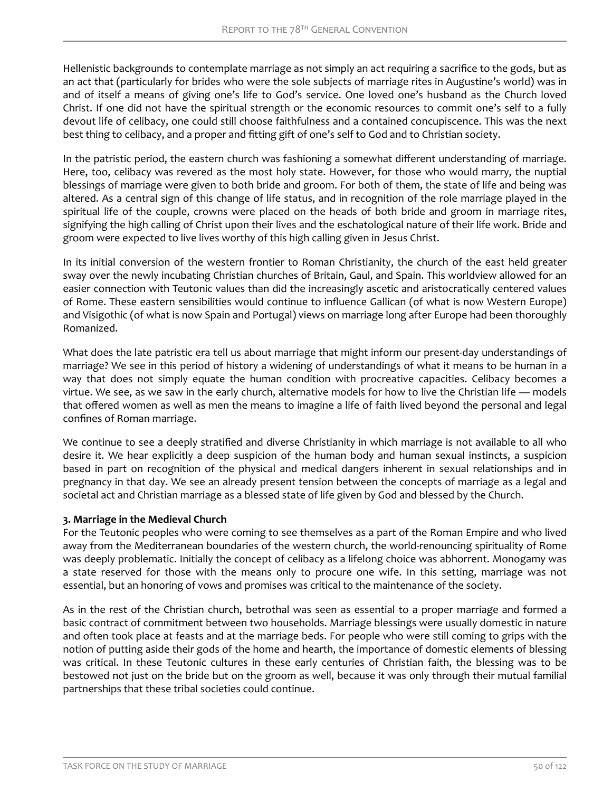Hellenistic backgrounds to contemplate marriage as not simply an act requiring a sacrifice to the gods, but as an act that (particularly for brides who were the sole subjects of marriage rites in Augustine's world) was in and of itself a means of giving one's life to God's service. One loved one's husband as the Church loved Christ. If one did not have the spiritual strength or the economic resources to commit one's self to a fully devout life of celibacy, one could still choose faithfulness and a contained concupiscence. This was the next best thing to celibacy, and a proper and fitting gift of one's self to God and to Christian society.

In the patristic period, the eastern church was fashioning a somewhat different understanding of marriage. Here, too, celibacy was revered as the most holy state. However, for those who would marry, the nuptial blessings of marriage were given to both bride and groom. For both of them, the state of life and being was altered. As a central sign of this change of life status, and in recognition of the role marriage played in the spiritual life of the couple, crowns were placed on the heads of both bride and groom in marriage rites, signifying the high calling of Christ upon their lives and the eschatological nature of their life work. Bride and groom were expected to live lives worthy of this high calling given in Jesus Christ.

In its initial conversion of the western frontier to Roman Christianity, the church of the east held greater sway over the newly incubating Christian churches of Britain, Gaul, and Spain. This worldview allowed for an easier connection with Teutonic values than did the increasingly ascetic and aristocratically centered values of Rome. These eastern sensibilities would continue to influence Gallican (of what is now Western Europe) and Visigothic (of what is now Spain and Portugal) views on marriage long after Europe had been thoroughly Romanized.

What does the late patristic era tell us about marriage that might inform our present-day understandings of marriage? We see in this period of history a widening of understandings of what it means to be human in a way that does not simply equate the human condition with procreative capacities. Celibacy becomes a virtue. We see, as we saw in the early church, alternative models for how to live the Christian life — models that offered women as well as men the means to imagine a life of faith lived beyond the personal and legal confines of Roman marriage.

We continue to see a deeply stratified and diverse Christianity in which marriage is not available to all who desire it. We hear explicitly a deep suspicion of the human body and human sexual instincts, a suspicion based in part on recognition of the physical and medical dangers inherent in sexual relationships and in pregnancy in that day. We see an already present tension between the concepts of marriage as a legal and societal act and Christian marriage as a blessed state of life given by God and blessed by the Church.

### **3. Marriage in the Medieval Church**

For the Teutonic peoples who were coming to see themselves as a part of the Roman Empire and who lived away from the Mediterranean boundaries of the western church, the world-renouncing spirituality of Rome was deeply problematic. Initially the concept of celibacy as a lifelong choice was abhorrent. Monogamy was a state reserved for those with the means only to procure one wife. In this setting, marriage was not essential, but an honoring of vows and promises was critical to the maintenance of the society.

As in the rest of the Christian church, betrothal was seen as essential to a proper marriage and formed a basic contract of commitment between two households. Marriage blessings were usually domestic in nature and often took place at feasts and at the marriage beds. For people who were still coming to grips with the notion of putting aside their gods of the home and hearth, the importance of domestic elements of blessing was critical. In these Teutonic cultures in these early centuries of Christian faith, the blessing was to be bestowed not just on the bride but on the groom as well, because it was only through their mutual familial partnerships that these tribal societies could continue.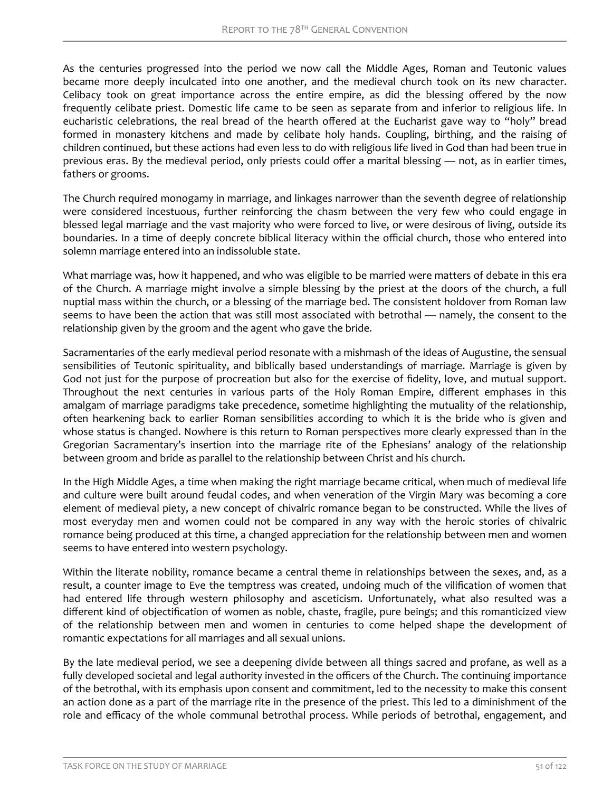As the centuries progressed into the period we now call the Middle Ages, Roman and Teutonic values became more deeply inculcated into one another, and the medieval church took on its new character. Celibacy took on great importance across the entire empire, as did the blessing offered by the now frequently celibate priest. Domestic life came to be seen as separate from and inferior to religious life. In eucharistic celebrations, the real bread of the hearth offered at the Eucharist gave way to "holy" bread formed in monastery kitchens and made by celibate holy hands. Coupling, birthing, and the raising of children continued, but these actions had even less to do with religious life lived in God than had been true in previous eras. By the medieval period, only priests could offer a marital blessing — not, as in earlier times, fathers or grooms.

The Church required monogamy in marriage, and linkages narrower than the seventh degree of relationship were considered incestuous, further reinforcing the chasm between the very few who could engage in blessed legal marriage and the vast majority who were forced to live, or were desirous of living, outside its boundaries. In a time of deeply concrete biblical literacy within the official church, those who entered into solemn marriage entered into an indissoluble state.

What marriage was, how it happened, and who was eligible to be married were matters of debate in this era of the Church. A marriage might involve a simple blessing by the priest at the doors of the church, a full nuptial mass within the church, or a blessing of the marriage bed. The consistent holdover from Roman law seems to have been the action that was still most associated with betrothal — namely, the consent to the relationship given by the groom and the agent who gave the bride.

Sacramentaries of the early medieval period resonate with a mishmash of the ideas of Augustine, the sensual sensibilities of Teutonic spirituality, and biblically based understandings of marriage. Marriage is given by God not just for the purpose of procreation but also for the exercise of fidelity, love, and mutual support. Throughout the next centuries in various parts of the Holy Roman Empire, different emphases in this amalgam of marriage paradigms take precedence, sometime highlighting the mutuality of the relationship, often hearkening back to earlier Roman sensibilities according to which it is the bride who is given and whose status is changed. Nowhere is this return to Roman perspectives more clearly expressed than in the Gregorian Sacramentary's insertion into the marriage rite of the Ephesians' analogy of the relationship between groom and bride as parallel to the relationship between Christ and his church.

In the High Middle Ages, a time when making the right marriage became critical, when much of medieval life and culture were built around feudal codes, and when veneration of the Virgin Mary was becoming a core element of medieval piety, a new concept of chivalric romance began to be constructed. While the lives of most everyday men and women could not be compared in any way with the heroic stories of chivalric romance being produced at this time, a changed appreciation for the relationship between men and women seems to have entered into western psychology.

Within the literate nobility, romance became a central theme in relationships between the sexes, and, as a result, a counter image to Eve the temptress was created, undoing much of the vilification of women that had entered life through western philosophy and asceticism. Unfortunately, what also resulted was a different kind of objectification of women as noble, chaste, fragile, pure beings; and this romanticized view of the relationship between men and women in centuries to come helped shape the development of romantic expectations for all marriages and all sexual unions.

By the late medieval period, we see a deepening divide between all things sacred and profane, as well as a fully developed societal and legal authority invested in the officers of the Church. The continuing importance of the betrothal, with its emphasis upon consent and commitment, led to the necessity to make this consent an action done as a part of the marriage rite in the presence of the priest. This led to a diminishment of the role and efficacy of the whole communal betrothal process. While periods of betrothal, engagement, and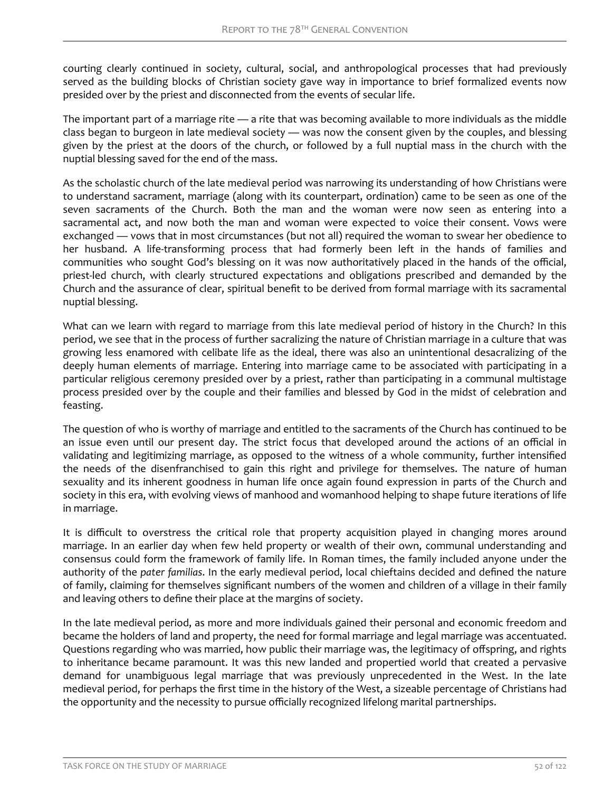courting clearly continued in society, cultural, social, and anthropological processes that had previously served as the building blocks of Christian society gave way in importance to brief formalized events now presided over by the priest and disconnected from the events of secular life.

The important part of a marriage rite — a rite that was becoming available to more individuals as the middle class began to burgeon in late medieval society — was now the consent given by the couples, and blessing given by the priest at the doors of the church, or followed by a full nuptial mass in the church with the nuptial blessing saved for the end of the mass.

As the scholastic church of the late medieval period was narrowing its understanding of how Christians were to understand sacrament, marriage (along with its counterpart, ordination) came to be seen as one of the seven sacraments of the Church. Both the man and the woman were now seen as entering into a sacramental act, and now both the man and woman were expected to voice their consent. Vows were exchanged — vows that in most circumstances (but not all) required the woman to swear her obedience to her husband. A life-transforming process that had formerly been left in the hands of families and communities who sought God's blessing on it was now authoritatively placed in the hands of the official, priest-led church, with clearly structured expectations and obligations prescribed and demanded by the Church and the assurance of clear, spiritual benefit to be derived from formal marriage with its sacramental nuptial blessing.

What can we learn with regard to marriage from this late medieval period of history in the Church? In this period, we see that in the process of further sacralizing the nature of Christian marriage in a culture that was growing less enamored with celibate life as the ideal, there was also an unintentional desacralizing of the deeply human elements of marriage. Entering into marriage came to be associated with participating in a particular religious ceremony presided over by a priest, rather than participating in a communal multistage process presided over by the couple and their families and blessed by God in the midst of celebration and feasting.

The question of who is worthy of marriage and entitled to the sacraments of the Church has continued to be an issue even until our present day. The strict focus that developed around the actions of an official in validating and legitimizing marriage, as opposed to the witness of a whole community, further intensified the needs of the disenfranchised to gain this right and privilege for themselves. The nature of human sexuality and its inherent goodness in human life once again found expression in parts of the Church and society in this era, with evolving views of manhood and womanhood helping to shape future iterations of life in marriage.

It is difficult to overstress the critical role that property acquisition played in changing mores around marriage. In an earlier day when few held property or wealth of their own, communal understanding and consensus could form the framework of family life. In Roman times, the family included anyone under the authority of the *pater familias*. In the early medieval period, local chieftains decided and defined the nature of family, claiming for themselves significant numbers of the women and children of a village in their family and leaving others to define their place at the margins of society.

In the late medieval period, as more and more individuals gained their personal and economic freedom and became the holders of land and property, the need for formal marriage and legal marriage was accentuated. Questions regarding who was married, how public their marriage was, the legitimacy of offspring, and rights to inheritance became paramount. It was this new landed and propertied world that created a pervasive demand for unambiguous legal marriage that was previously unprecedented in the West. In the late medieval period, for perhaps the first time in the history of the West, a sizeable percentage of Christians had the opportunity and the necessity to pursue officially recognized lifelong marital partnerships.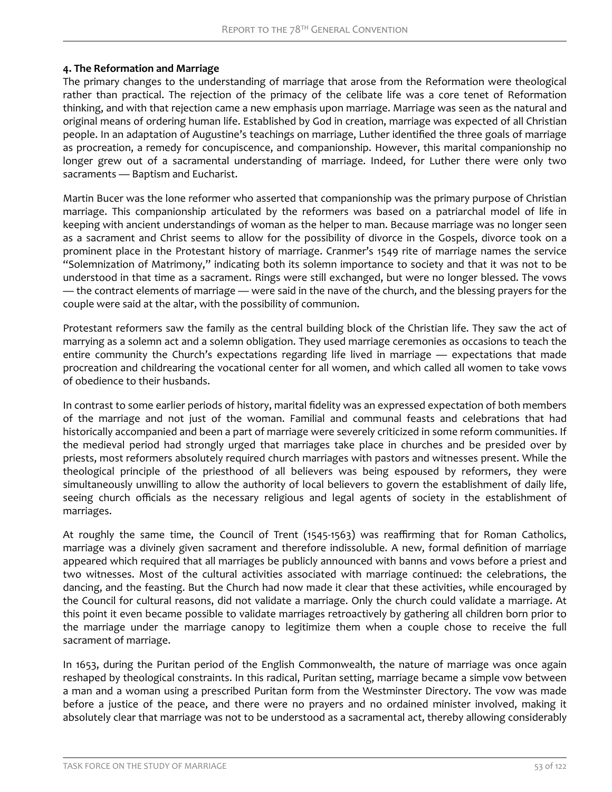# **4. The Reformation and Marriage**

The primary changes to the understanding of marriage that arose from the Reformation were theological rather than practical. The rejection of the primacy of the celibate life was a core tenet of Reformation thinking, and with that rejection came a new emphasis upon marriage. Marriage was seen as the natural and original means of ordering human life. Established by God in creation, marriage was expected of all Christian people. In an adaptation of Augustine's teachings on marriage, Luther identified the three goals of marriage as procreation, a remedy for concupiscence, and companionship. However, this marital companionship no longer grew out of a sacramental understanding of marriage. Indeed, for Luther there were only two sacraments — Baptism and Eucharist.

Martin Bucer was the lone reformer who asserted that companionship was the primary purpose of Christian marriage. This companionship articulated by the reformers was based on a patriarchal model of life in keeping with ancient understandings of woman as the helper to man. Because marriage was no longer seen as a sacrament and Christ seems to allow for the possibility of divorce in the Gospels, divorce took on a prominent place in the Protestant history of marriage. Cranmer's 1549 rite of marriage names the service "Solemnization of Matrimony," indicating both its solemn importance to society and that it was not to be understood in that time as a sacrament. Rings were still exchanged, but were no longer blessed. The vows — the contract elements of marriage — were said in the nave of the church, and the blessing prayers for the couple were said at the altar, with the possibility of communion.

Protestant reformers saw the family as the central building block of the Christian life. They saw the act of marrying as a solemn act and a solemn obligation. They used marriage ceremonies as occasions to teach the entire community the Church's expectations regarding life lived in marriage — expectations that made procreation and childrearing the vocational center for all women, and which called all women to take vows of obedience to their husbands.

In contrast to some earlier periods of history, marital fidelity was an expressed expectation of both members of the marriage and not just of the woman. Familial and communal feasts and celebrations that had historically accompanied and been a part of marriage were severely criticized in some reform communities. If the medieval period had strongly urged that marriages take place in churches and be presided over by priests, most reformers absolutely required church marriages with pastors and witnesses present. While the theological principle of the priesthood of all believers was being espoused by reformers, they were simultaneously unwilling to allow the authority of local believers to govern the establishment of daily life, seeing church officials as the necessary religious and legal agents of society in the establishment of marriages.

At roughly the same time, the Council of Trent (1545-1563) was reaffirming that for Roman Catholics, marriage was a divinely given sacrament and therefore indissoluble. A new, formal definition of marriage appeared which required that all marriages be publicly announced with banns and vows before a priest and two witnesses. Most of the cultural activities associated with marriage continued: the celebrations, the dancing, and the feasting. But the Church had now made it clear that these activities, while encouraged by the Council for cultural reasons, did not validate a marriage. Only the church could validate a marriage. At this point it even became possible to validate marriages retroactively by gathering all children born prior to the marriage under the marriage canopy to legitimize them when a couple chose to receive the full sacrament of marriage.

In 1653, during the Puritan period of the English Commonwealth, the nature of marriage was once again reshaped by theological constraints. In this radical, Puritan setting, marriage became a simple vow between a man and a woman using a prescribed Puritan form from the Westminster Directory. The vow was made before a justice of the peace, and there were no prayers and no ordained minister involved, making it absolutely clear that marriage was not to be understood as a sacramental act, thereby allowing considerably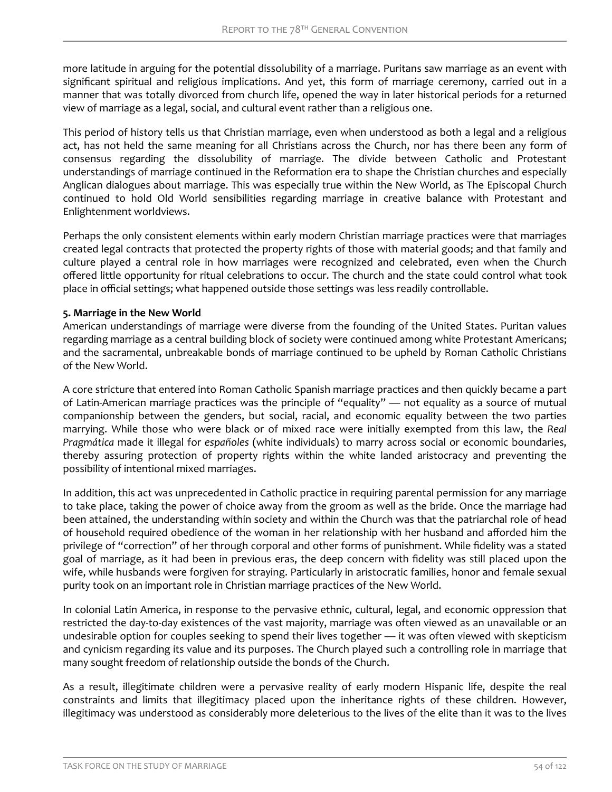more latitude in arguing for the potential dissolubility of a marriage. Puritans saw marriage as an event with significant spiritual and religious implications. And yet, this form of marriage ceremony, carried out in a manner that was totally divorced from church life, opened the way in later historical periods for a returned view of marriage as a legal, social, and cultural event rather than a religious one.

This period of history tells us that Christian marriage, even when understood as both a legal and a religious act, has not held the same meaning for all Christians across the Church, nor has there been any form of consensus regarding the dissolubility of marriage. The divide between Catholic and Protestant understandings of marriage continued in the Reformation era to shape the Christian churches and especially Anglican dialogues about marriage. This was especially true within the New World, as The Episcopal Church continued to hold Old World sensibilities regarding marriage in creative balance with Protestant and Enlightenment worldviews.

Perhaps the only consistent elements within early modern Christian marriage practices were that marriages created legal contracts that protected the property rights of those with material goods; and that family and culture played a central role in how marriages were recognized and celebrated, even when the Church offered little opportunity for ritual celebrations to occur. The church and the state could control what took place in official settings; what happened outside those settings was less readily controllable.

### **5. Marriage in the New World**

American understandings of marriage were diverse from the founding of the United States. Puritan values regarding marriage as a central building block of society were continued among white Protestant Americans; and the sacramental, unbreakable bonds of marriage continued to be upheld by Roman Catholic Christians of the New World.

A core stricture that entered into Roman Catholic Spanish marriage practices and then quickly became a part of Latin-American marriage practices was the principle of "equality" — not equality as a source of mutual companionship between the genders, but social, racial, and economic equality between the two parties marrying. While those who were black or of mixed race were initially exempted from this law, the *Real Pragmática* made it illegal for *españoles* (white individuals) to marry across social or economic boundaries, thereby assuring protection of property rights within the white landed aristocracy and preventing the possibility of intentional mixed marriages.

In addition, this act was unprecedented in Catholic practice in requiring parental permission for any marriage to take place, taking the power of choice away from the groom as well as the bride. Once the marriage had been attained, the understanding within society and within the Church was that the patriarchal role of head of household required obedience of the woman in her relationship with her husband and afforded him the privilege of "correction" of her through corporal and other forms of punishment. While fidelity was a stated goal of marriage, as it had been in previous eras, the deep concern with fidelity was still placed upon the wife, while husbands were forgiven for straying. Particularly in aristocratic families, honor and female sexual purity took on an important role in Christian marriage practices of the New World.

In colonial Latin America, in response to the pervasive ethnic, cultural, legal, and economic oppression that restricted the day-to-day existences of the vast majority, marriage was often viewed as an unavailable or an undesirable option for couples seeking to spend their lives together — it was often viewed with skepticism and cynicism regarding its value and its purposes. The Church played such a controlling role in marriage that many sought freedom of relationship outside the bonds of the Church.

As a result, illegitimate children were a pervasive reality of early modern Hispanic life, despite the real constraints and limits that illegitimacy placed upon the inheritance rights of these children. However, illegitimacy was understood as considerably more deleterious to the lives of the elite than it was to the lives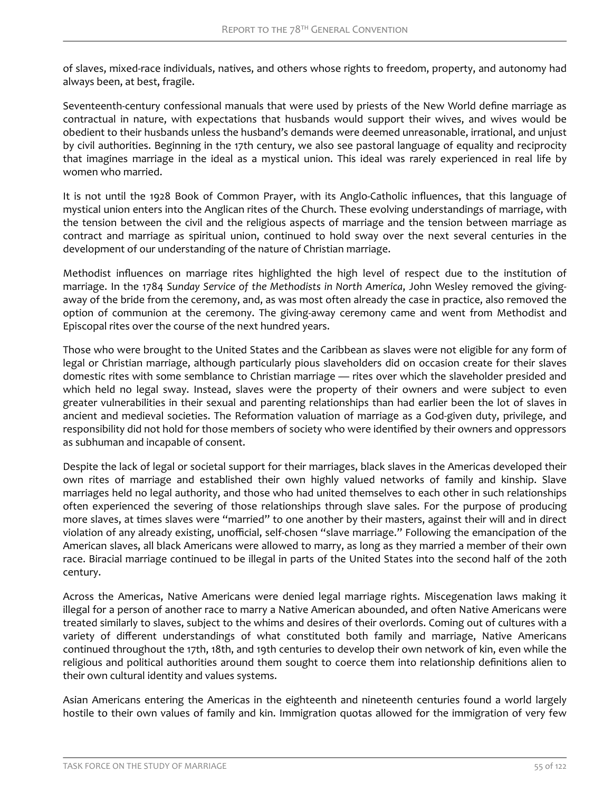of slaves, mixed-race individuals, natives, and others whose rights to freedom, property, and autonomy had always been, at best, fragile.

Seventeenth-century confessional manuals that were used by priests of the New World define marriage as contractual in nature, with expectations that husbands would support their wives, and wives would be obedient to their husbands unless the husband's demands were deemed unreasonable, irrational, and unjust by civil authorities. Beginning in the 17th century, we also see pastoral language of equality and reciprocity that imagines marriage in the ideal as a mystical union. This ideal was rarely experienced in real life by women who married.

It is not until the 1928 Book of Common Prayer, with its Anglo-Catholic influences, that this language of mystical union enters into the Anglican rites of the Church. These evolving understandings of marriage, with the tension between the civil and the religious aspects of marriage and the tension between marriage as contract and marriage as spiritual union, continued to hold sway over the next several centuries in the development of our understanding of the nature of Christian marriage.

Methodist influences on marriage rites highlighted the high level of respect due to the institution of marriage. In the 1784 *Sunday Service of the Methodists in North America*, John Wesley removed the givingaway of the bride from the ceremony, and, as was most often already the case in practice, also removed the option of communion at the ceremony. The giving-away ceremony came and went from Methodist and Episcopal rites over the course of the next hundred years.

Those who were brought to the United States and the Caribbean as slaves were not eligible for any form of legal or Christian marriage, although particularly pious slaveholders did on occasion create for their slaves domestic rites with some semblance to Christian marriage — rites over which the slaveholder presided and which held no legal sway. Instead, slaves were the property of their owners and were subject to even greater vulnerabilities in their sexual and parenting relationships than had earlier been the lot of slaves in ancient and medieval societies. The Reformation valuation of marriage as a God-given duty, privilege, and responsibility did not hold for those members of society who were identified by their owners and oppressors as subhuman and incapable of consent.

Despite the lack of legal or societal support for their marriages, black slaves in the Americas developed their own rites of marriage and established their own highly valued networks of family and kinship. Slave marriages held no legal authority, and those who had united themselves to each other in such relationships often experienced the severing of those relationships through slave sales. For the purpose of producing more slaves, at times slaves were "married" to one another by their masters, against their will and in direct violation of any already existing, unofficial, self-chosen "slave marriage." Following the emancipation of the American slaves, all black Americans were allowed to marry, as long as they married a member of their own race. Biracial marriage continued to be illegal in parts of the United States into the second half of the 20th century.

Across the Americas, Native Americans were denied legal marriage rights. Miscegenation laws making it illegal for a person of another race to marry a Native American abounded, and often Native Americans were treated similarly to slaves, subject to the whims and desires of their overlords. Coming out of cultures with a variety of different understandings of what constituted both family and marriage, Native Americans continued throughout the 17th, 18th, and 19th centuries to develop their own network of kin, even while the religious and political authorities around them sought to coerce them into relationship definitions alien to their own cultural identity and values systems.

Asian Americans entering the Americas in the eighteenth and nineteenth centuries found a world largely hostile to their own values of family and kin. Immigration quotas allowed for the immigration of very few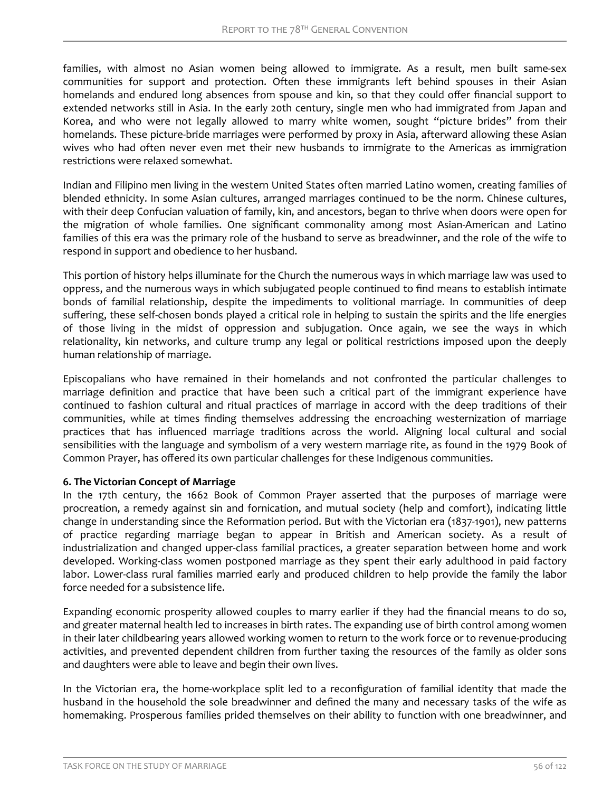families, with almost no Asian women being allowed to immigrate. As a result, men built same-sex communities for support and protection. Often these immigrants left behind spouses in their Asian homelands and endured long absences from spouse and kin, so that they could offer financial support to extended networks still in Asia. In the early 20th century, single men who had immigrated from Japan and Korea, and who were not legally allowed to marry white women, sought "picture brides" from their homelands. These picture-bride marriages were performed by proxy in Asia, afterward allowing these Asian wives who had often never even met their new husbands to immigrate to the Americas as immigration restrictions were relaxed somewhat.

Indian and Filipino men living in the western United States often married Latino women, creating families of blended ethnicity. In some Asian cultures, arranged marriages continued to be the norm. Chinese cultures, with their deep Confucian valuation of family, kin, and ancestors, began to thrive when doors were open for the migration of whole families. One significant commonality among most Asian-American and Latino families of this era was the primary role of the husband to serve as breadwinner, and the role of the wife to respond in support and obedience to her husband.

This portion of history helps illuminate for the Church the numerous ways in which marriage law was used to oppress, and the numerous ways in which subjugated people continued to find means to establish intimate bonds of familial relationship, despite the impediments to volitional marriage. In communities of deep suffering, these self-chosen bonds played a critical role in helping to sustain the spirits and the life energies of those living in the midst of oppression and subjugation. Once again, we see the ways in which relationality, kin networks, and culture trump any legal or political restrictions imposed upon the deeply human relationship of marriage.

Episcopalians who have remained in their homelands and not confronted the particular challenges to marriage definition and practice that have been such a critical part of the immigrant experience have continued to fashion cultural and ritual practices of marriage in accord with the deep traditions of their communities, while at times finding themselves addressing the encroaching westernization of marriage practices that has influenced marriage traditions across the world. Aligning local cultural and social sensibilities with the language and symbolism of a very western marriage rite, as found in the 1979 Book of Common Prayer, has offered its own particular challenges for these Indigenous communities.

#### **6. The Victorian Concept of Marriage**

In the 17th century, the 1662 Book of Common Prayer asserted that the purposes of marriage were procreation, a remedy against sin and fornication, and mutual society (help and comfort), indicating little change in understanding since the Reformation period. But with the Victorian era (1837-1901), new patterns of practice regarding marriage began to appear in British and American society. As a result of industrialization and changed upper-class familial practices, a greater separation between home and work developed. Working-class women postponed marriage as they spent their early adulthood in paid factory labor. Lower-class rural families married early and produced children to help provide the family the labor force needed for a subsistence life.

Expanding economic prosperity allowed couples to marry earlier if they had the financial means to do so, and greater maternal health led to increases in birth rates. The expanding use of birth control among women in their later childbearing years allowed working women to return to the work force or to revenue-producing activities, and prevented dependent children from further taxing the resources of the family as older sons and daughters were able to leave and begin their own lives.

In the Victorian era, the home-workplace split led to a reconfiguration of familial identity that made the husband in the household the sole breadwinner and defined the many and necessary tasks of the wife as homemaking. Prosperous families prided themselves on their ability to function with one breadwinner, and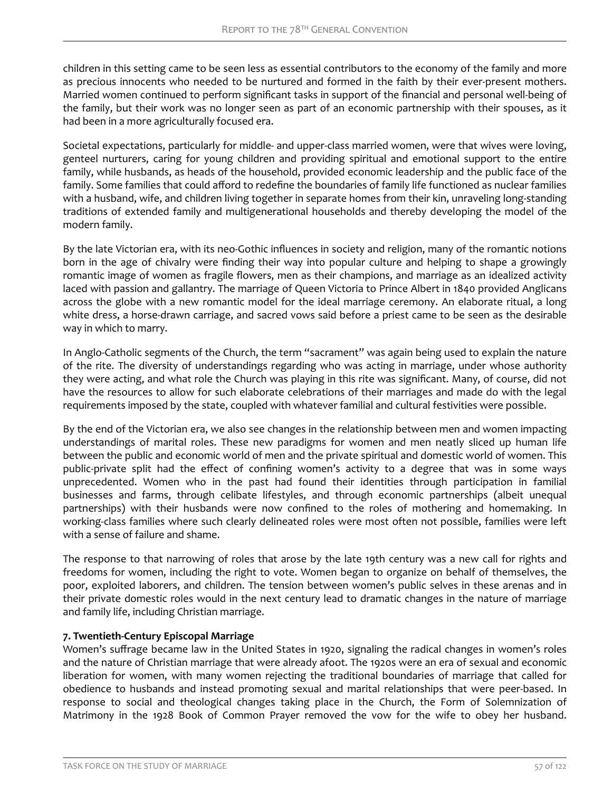children in this setting came to be seen less as essential contributors to the economy of the family and more as precious innocents who needed to be nurtured and formed in the faith by their ever-present mothers. Married women continued to perform significant tasks in support of the financial and personal well-being of the family, but their work was no longer seen as part of an economic partnership with their spouses, as it had been in a more agriculturally focused era.

Societal expectations, particularly for middle- and upper-class married women, were that wives were loving, genteel nurturers, caring for young children and providing spiritual and emotional support to the entire family, while husbands, as heads of the household, provided economic leadership and the public face of the family. Some families that could afford to redefine the boundaries of family life functioned as nuclear families with a husband, wife, and children living together in separate homes from their kin, unraveling long-standing traditions of extended family and multigenerational households and thereby developing the model of the modern family.

By the late Victorian era, with its neo-Gothic influences in society and religion, many of the romantic notions born in the age of chivalry were finding their way into popular culture and helping to shape a growingly romantic image of women as fragile flowers, men as their champions, and marriage as an idealized activity laced with passion and gallantry. The marriage of Queen Victoria to Prince Albert in 1840 provided Anglicans across the globe with a new romantic model for the ideal marriage ceremony. An elaborate ritual, a long white dress, a horse-drawn carriage, and sacred vows said before a priest came to be seen as the desirable way in which to marry.

In Anglo-Catholic segments of the Church, the term "sacrament" was again being used to explain the nature of the rite. The diversity of understandings regarding who was acting in marriage, under whose authority they were acting, and what role the Church was playing in this rite was significant. Many, of course, did not have the resources to allow for such elaborate celebrations of their marriages and made do with the legal requirements imposed by the state, coupled with whatever familial and cultural festivities were possible.

By the end of the Victorian era, we also see changes in the relationship between men and women impacting understandings of marital roles. These new paradigms for women and men neatly sliced up human life between the public and economic world of men and the private spiritual and domestic world of women. This public-private split had the effect of confining women's activity to a degree that was in some ways unprecedented. Women who in the past had found their identities through participation in familial businesses and farms, through celibate lifestyles, and through economic partnerships (albeit unequal partnerships) with their husbands were now confined to the roles of mothering and homemaking. In working-class families where such clearly delineated roles were most often not possible, families were left with a sense of failure and shame.

The response to that narrowing of roles that arose by the late 19th century was a new call for rights and freedoms for women, including the right to vote. Women began to organize on behalf of themselves, the poor, exploited laborers, and children. The tension between women's public selves in these arenas and in their private domestic roles would in the next century lead to dramatic changes in the nature of marriage and family life, including Christian marriage.

### **7. Twentieth-Century Episcopal Marriage**

Women's suffrage became law in the United States in 1920, signaling the radical changes in women's roles and the nature of Christian marriage that were already afoot. The 1920s were an era of sexual and economic liberation for women, with many women rejecting the traditional boundaries of marriage that called for obedience to husbands and instead promoting sexual and marital relationships that were peer-based. In response to social and theological changes taking place in the Church, the Form of Solemnization of Matrimony in the 1928 Book of Common Prayer removed the vow for the wife to obey her husband.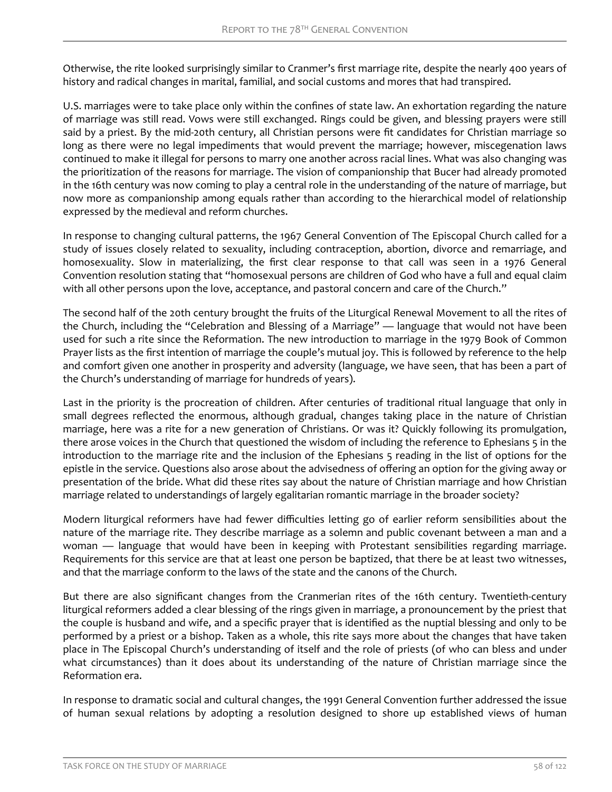Otherwise, the rite looked surprisingly similar to Cranmer's first marriage rite, despite the nearly 400 years of history and radical changes in marital, familial, and social customs and mores that had transpired.

U.S. marriages were to take place only within the confines of state law. An exhortation regarding the nature of marriage was still read. Vows were still exchanged. Rings could be given, and blessing prayers were still said by a priest. By the mid-20th century, all Christian persons were fit candidates for Christian marriage so long as there were no legal impediments that would prevent the marriage; however, miscegenation laws continued to make it illegal for persons to marry one another across racial lines. What was also changing was the prioritization of the reasons for marriage. The vision of companionship that Bucer had already promoted in the 16th century was now coming to play a central role in the understanding of the nature of marriage, but now more as companionship among equals rather than according to the hierarchical model of relationship expressed by the medieval and reform churches.

In response to changing cultural patterns, the 1967 General Convention of The Episcopal Church called for a study of issues closely related to sexuality, including contraception, abortion, divorce and remarriage, and homosexuality. Slow in materializing, the first clear response to that call was seen in a 1976 General Convention resolution stating that "homosexual persons are children of God who have a full and equal claim with all other persons upon the love, acceptance, and pastoral concern and care of the Church."

The second half of the 20th century brought the fruits of the Liturgical Renewal Movement to all the rites of the Church, including the "Celebration and Blessing of a Marriage" — language that would not have been used for such a rite since the Reformation. The new introduction to marriage in the 1979 Book of Common Prayer lists as the first intention of marriage the couple's mutual joy. This is followed by reference to the help and comfort given one another in prosperity and adversity (language, we have seen, that has been a part of the Church's understanding of marriage for hundreds of years).

Last in the priority is the procreation of children. After centuries of traditional ritual language that only in small degrees reflected the enormous, although gradual, changes taking place in the nature of Christian marriage, here was a rite for a new generation of Christians. Or was it? Quickly following its promulgation, there arose voices in the Church that questioned the wisdom of including the reference to Ephesians 5 in the introduction to the marriage rite and the inclusion of the Ephesians 5 reading in the list of options for the epistle in the service. Questions also arose about the advisedness of offering an option for the giving away or presentation of the bride. What did these rites say about the nature of Christian marriage and how Christian marriage related to understandings of largely egalitarian romantic marriage in the broader society?

Modern liturgical reformers have had fewer difficulties letting go of earlier reform sensibilities about the nature of the marriage rite. They describe marriage as a solemn and public covenant between a man and a woman — language that would have been in keeping with Protestant sensibilities regarding marriage. Requirements for this service are that at least one person be baptized, that there be at least two witnesses, and that the marriage conform to the laws of the state and the canons of the Church.

But there are also significant changes from the Cranmerian rites of the 16th century. Twentieth-century liturgical reformers added a clear blessing of the rings given in marriage, a pronouncement by the priest that the couple is husband and wife, and a specific prayer that is identified as the nuptial blessing and only to be performed by a priest or a bishop. Taken as a whole, this rite says more about the changes that have taken place in The Episcopal Church's understanding of itself and the role of priests (of who can bless and under what circumstances) than it does about its understanding of the nature of Christian marriage since the Reformation era.

In response to dramatic social and cultural changes, the 1991 General Convention further addressed the issue of human sexual relations by adopting a resolution designed to shore up established views of human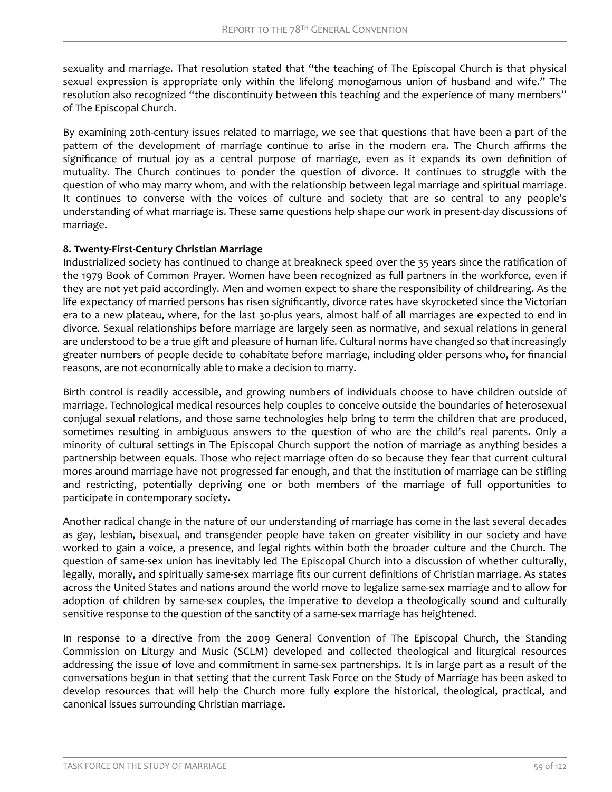sexuality and marriage. That resolution stated that "the teaching of The Episcopal Church is that physical sexual expression is appropriate only within the lifelong monogamous union of husband and wife." The resolution also recognized "the discontinuity between this teaching and the experience of many members" of The Episcopal Church.

By examining 20th-century issues related to marriage, we see that questions that have been a part of the pattern of the development of marriage continue to arise in the modern era. The Church affirms the significance of mutual joy as a central purpose of marriage, even as it expands its own definition of mutuality. The Church continues to ponder the question of divorce. It continues to struggle with the question of who may marry whom, and with the relationship between legal marriage and spiritual marriage. It continues to converse with the voices of culture and society that are so central to any people's understanding of what marriage is. These same questions help shape our work in present-day discussions of marriage.

### **8. Twenty-First-Century Christian Marriage**

Industrialized society has continued to change at breakneck speed over the 35 years since the ratification of the 1979 Book of Common Prayer. Women have been recognized as full partners in the workforce, even if they are not yet paid accordingly. Men and women expect to share the responsibility of childrearing. As the life expectancy of married persons has risen significantly, divorce rates have skyrocketed since the Victorian era to a new plateau, where, for the last 30-plus years, almost half of all marriages are expected to end in divorce. Sexual relationships before marriage are largely seen as normative, and sexual relations in general are understood to be a true gift and pleasure of human life. Cultural norms have changed so that increasingly greater numbers of people decide to cohabitate before marriage, including older persons who, for financial reasons, are not economically able to make a decision to marry.

Birth control is readily accessible, and growing numbers of individuals choose to have children outside of marriage. Technological medical resources help couples to conceive outside the boundaries of heterosexual conjugal sexual relations, and those same technologies help bring to term the children that are produced, sometimes resulting in ambiguous answers to the question of who are the child's real parents. Only a minority of cultural settings in The Episcopal Church support the notion of marriage as anything besides a partnership between equals. Those who reject marriage often do so because they fear that current cultural mores around marriage have not progressed far enough, and that the institution of marriage can be stifling and restricting, potentially depriving one or both members of the marriage of full opportunities to participate in contemporary society.

Another radical change in the nature of our understanding of marriage has come in the last several decades as gay, lesbian, bisexual, and transgender people have taken on greater visibility in our society and have worked to gain a voice, a presence, and legal rights within both the broader culture and the Church. The question of same-sex union has inevitably led The Episcopal Church into a discussion of whether culturally, legally, morally, and spiritually same-sex marriage fits our current definitions of Christian marriage. As states across the United States and nations around the world move to legalize same-sex marriage and to allow for adoption of children by same-sex couples, the imperative to develop a theologically sound and culturally sensitive response to the question of the sanctity of a same-sex marriage has heightened.

In response to a directive from the 2009 General Convention of The Episcopal Church, the Standing Commission on Liturgy and Music (SCLM) developed and collected theological and liturgical resources addressing the issue of love and commitment in same-sex partnerships. It is in large part as a result of the conversations begun in that setting that the current Task Force on the Study of Marriage has been asked to develop resources that will help the Church more fully explore the historical, theological, practical, and canonical issues surrounding Christian marriage.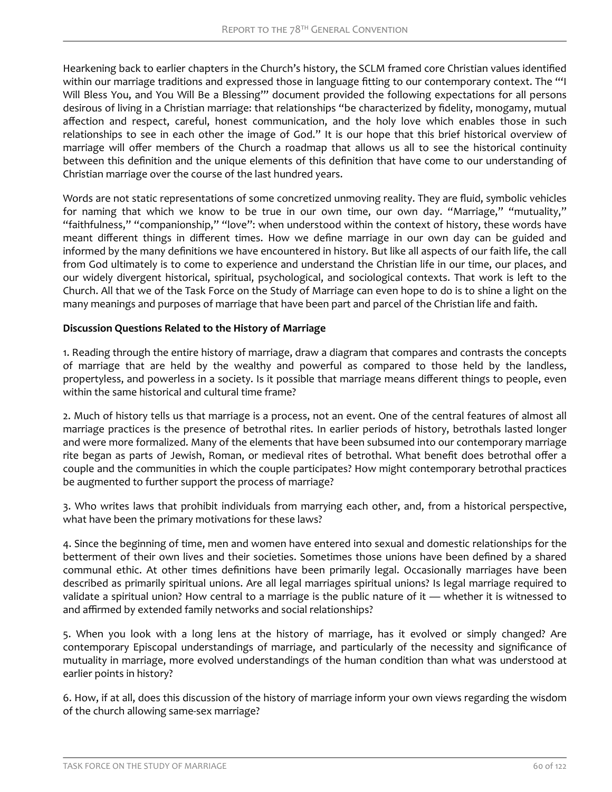Hearkening back to earlier chapters in the Church's history, the SCLM framed core Christian values identified within our marriage traditions and expressed those in language fitting to our contemporary context. The "'I Will Bless You, and You Will Be a Blessing"" document provided the following expectations for all persons desirous of living in a Christian marriage: that relationships "be characterized by fidelity, monogamy, mutual affection and respect, careful, honest communication, and the holy love which enables those in such relationships to see in each other the image of God." It is our hope that this brief historical overview of marriage will offer members of the Church a roadmap that allows us all to see the historical continuity between this definition and the unique elements of this definition that have come to our understanding of Christian marriage over the course of the last hundred years.

Words are not static representations of some concretized unmoving reality. They are fluid, symbolic vehicles for naming that which we know to be true in our own time, our own day. "Marriage," "mutuality," "faithfulness," "companionship," "love": when understood within the context of history, these words have meant different things in different times. How we define marriage in our own day can be guided and informed by the many definitions we have encountered in history. But like all aspects of our faith life, the call from God ultimately is to come to experience and understand the Christian life in our time, our places, and our widely divergent historical, spiritual, psychological, and sociological contexts. That work is left to the Church. All that we of the Task Force on the Study of Marriage can even hope to do is to shine a light on the many meanings and purposes of marriage that have been part and parcel of the Christian life and faith.

# **Discussion Questions Related to the History of Marriage**

1. Reading through the entire history of marriage, draw a diagram that compares and contrasts the concepts of marriage that are held by the wealthy and powerful as compared to those held by the landless, propertyless, and powerless in a society. Is it possible that marriage means different things to people, even within the same historical and cultural time frame?

2. Much of history tells us that marriage is a process, not an event. One of the central features of almost all marriage practices is the presence of betrothal rites. In earlier periods of history, betrothals lasted longer and were more formalized. Many of the elements that have been subsumed into our contemporary marriage rite began as parts of Jewish, Roman, or medieval rites of betrothal. What benefit does betrothal offer a couple and the communities in which the couple participates? How might contemporary betrothal practices be augmented to further support the process of marriage?

3. Who writes laws that prohibit individuals from marrying each other, and, from a historical perspective, what have been the primary motivations for these laws?

4. Since the beginning of time, men and women have entered into sexual and domestic relationships for the betterment of their own lives and their societies. Sometimes those unions have been defined by a shared communal ethic. At other times definitions have been primarily legal. Occasionally marriages have been described as primarily spiritual unions. Are all legal marriages spiritual unions? Is legal marriage required to validate a spiritual union? How central to a marriage is the public nature of it — whether it is witnessed to and affirmed by extended family networks and social relationships?

5. When you look with a long lens at the history of marriage, has it evolved or simply changed? Are contemporary Episcopal understandings of marriage, and particularly of the necessity and significance of mutuality in marriage, more evolved understandings of the human condition than what was understood at earlier points in history?

6. How, if at all, does this discussion of the history of marriage inform your own views regarding the wisdom of the church allowing same-sex marriage?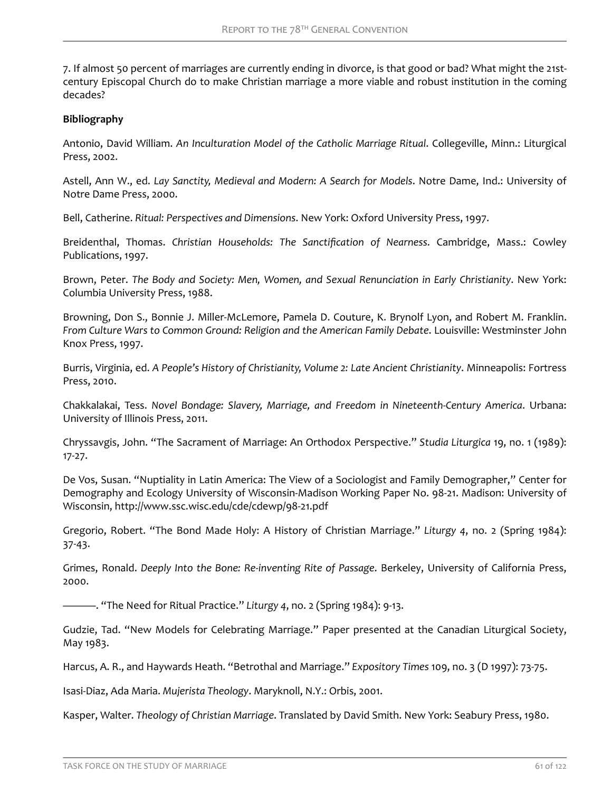7. If almost 50 percent of marriages are currently ending in divorce, is that good or bad? What might the 21stcentury Episcopal Church do to make Christian marriage a more viable and robust institution in the coming decades?

### **Bibliography**

Antonio, David William. *An Inculturation Model of the Catholic Marriage Ritual*. Collegeville, Minn.: Liturgical Press, 2002.

Astell, Ann W., ed. *Lay Sanctity, Medieval and Modern: A Search for Models*. Notre Dame, Ind.: University of Notre Dame Press, 2000.

Bell, Catherine. *Ritual: Perspectives and Dimensions*. New York: Oxford University Press, 1997.

Breidenthal, Thomas. *Christian Households: The Sanctification of Nearness*. Cambridge, Mass.: Cowley Publications, 1997.

Brown, Peter. *The Body and Society: Men, Women, and Sexual Renunciation in Early Christianity*. New York: Columbia University Press, 1988.

Browning, Don S., Bonnie J. Miller-McLemore, Pamela D. Couture, K. Brynolf Lyon, and Robert M. Franklin. *From Culture Wars to Common Ground: Religion and the American Family Debate*. Louisville: Westminster John Knox Press, 1997.

Burris, Virginia, ed. *A People's History of Christianity, Volume 2: Late Ancient Christianity*. Minneapolis: Fortress Press, 2010.

Chakkalakai, Tess. *Novel Bondage: Slavery, Marriage, and Freedom in Nineteenth-Century America*. Urbana: University of Illinois Press, 2011.

Chryssavgis, John. "The Sacrament of Marriage: An Orthodox Perspective." *Studia Liturgica* 19, no. 1 (1989): 17-27.

De Vos, Susan. "Nuptiality in Latin America: The View of a Sociologist and Family Demographer," Center for Demography and Ecology University of Wisconsin-Madison Working Paper No. 98-21. Madison: University of Wisconsin, http://www.ssc.wisc.edu/cde/cdewp/98-21.pdf

Gregorio, Robert. "The Bond Made Holy: A History of Christian Marriage." *Liturgy 4*, no. 2 (Spring 1984): 37-43.

Grimes, Ronald. *Deeply Into the Bone: Re-inventing Rite of Passage*. Berkeley, University of California Press, 2000.

———. "The Need for Ritual Practice." *Liturgy 4*, no. 2 (Spring 1984): 9-13.

Gudzie, Tad. "New Models for Celebrating Marriage." Paper presented at the Canadian Liturgical Society, May 1983.

Harcus, A. R., and Haywards Heath. "Betrothal and Marriage." *Expository Times* 109, no. 3 (D 1997): 73-75.

Isasi-Diaz, Ada Maria. *Mujerista Theology*. Maryknoll, N.Y.: Orbis, 2001.

Kasper, Walter. *Theology of Christian Marriage*. Translated by David Smith. New York: Seabury Press, 1980.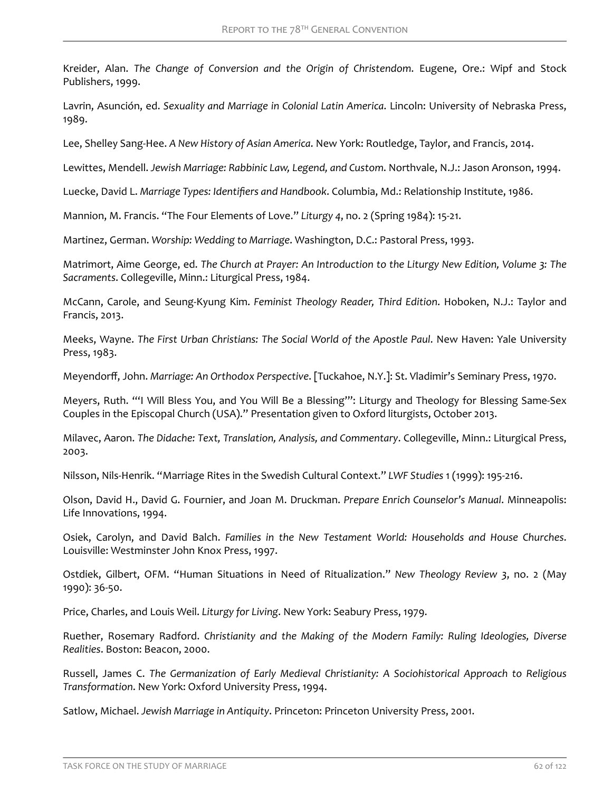Kreider, Alan. *The Change of Conversion and the Origin of Christendom*. Eugene, Ore.: Wipf and Stock Publishers, 1999.

Lavrin, Asunción, ed. *Sexuality and Marriage in Colonial Latin America*. Lincoln: University of Nebraska Press, 1989.

Lee, Shelley Sang-Hee. *A New History of Asian America*. New York: Routledge, Taylor, and Francis, 2014.

Lewittes, Mendell. *Jewish Marriage: Rabbinic Law, Legend, and Custom*. Northvale, N.J.: Jason Aronson, 1994.

Luecke, David L. *Marriage Types: dentifiers and Handbook*. Columbia, Md.: Relationship Institute, 1986.

Mannion, M. Francis. "The Four Elements of Love." *Liturgy 4*, no. 2 (Spring 1984): 15-21.

Martinez, German. *Worship: Wedding to Marriage*. Washington, D.C.: Pastoral Press, 1993.

Matrimort, Aime George, ed. *The Church at Prayer: An Introduction to the Liturgy New Edition, Volume 3: The Sacraments*. Collegeville, Minn.: Liturgical Press, 1984.

McCann, Carole, and Seung-Kyung Kim. *Feminist Theology Reader, Third Edition*. Hoboken, N.J.: Taylor and Francis, 2013.

Meeks, Wayne. *The First Urban Christians: The Social World of the Apostle Paul*. New Haven: Yale University Press, 1983.

Meyendorff, John. Marriage: An Orthodox Perspective. [Tuckahoe, N.Y.]: St. Vladimir's Seminary Press, 1970.

Meyers, Ruth. "'I Will Bless You, and You Will Be a Blessing'": Liturgy and Theology for Blessing Same-Sex Couples in the Episcopal Church (USA)." Presentation given to Oxford liturgists, October 2013.

Milavec, Aaron. *The Didache: Text, Translation, Analysis, and Commentary*. Collegeville, Minn.: Liturgical Press, 2003.

Nilsson, Nils-Henrik. "Marriage Rites in the Swedish Cultural Context." *LWF Studies* 1 (1999): 195-216.

Olson, David H., David G. Fournier, and Joan M. Druckman. *Prepare Enrich Counselor's Manual*. Minneapolis: Life Innovations, 1994.

Osiek, Carolyn, and David Balch. *Families in the New Testament World: Households and House Churches*. Louisville: Westminster John Knox Press, 1997.

Ostdiek, Gilbert, OFM. "Human Situations in Need of Ritualization." *New Theology Review 3*, no. 2 (May 1990): 36-50.

Price, Charles, and Louis Weil. *Liturgy for Living*. New York: Seabury Press, 1979.

Ruether, Rosemary Radford. *Christianity and the Making of the Modern Family: Ruling Ideologies, Diverse Realities*. Boston: Beacon, 2000.

Russell, James C. *The Germanization of Early Medieval Christianity: A Sociohistorical Approach to Religious Transformation*. New York: Oxford University Press, 1994.

Satlow, Michael. *Jewish Marriage in Antiquity*. Princeton: Princeton University Press, 2001.